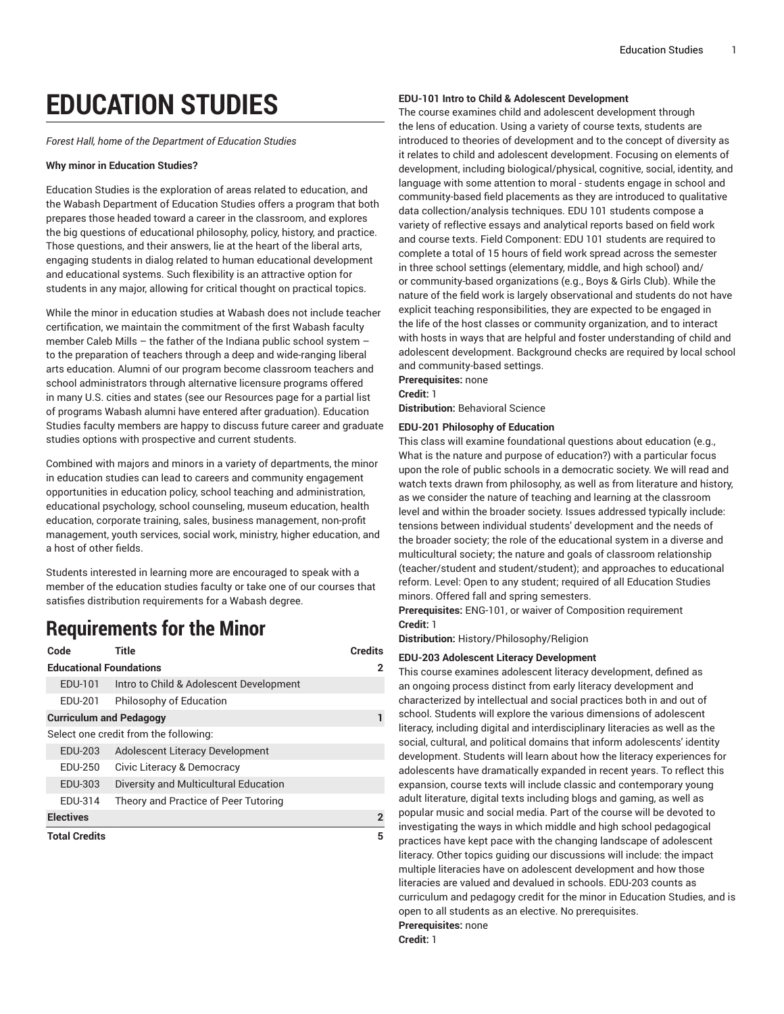# **EDUCATION STUDIES**

*Forest Hall, home of the Department of Education Studies*

#### **Why minor in Education Studies?**

Education Studies is the exploration of areas related to education, and the Wabash Department of Education Studies offers a program that both prepares those headed toward a career in the classroom, and explores the big questions of educational philosophy, policy, history, and practice. Those questions, and their answers, lie at the heart of the liberal arts, engaging students in dialog related to human educational development and educational systems. Such flexibility is an attractive option for students in any major, allowing for critical thought on practical topics.

While the minor in education studies at Wabash does not include teacher certification, we maintain the commitment of the first Wabash faculty member Caleb Mills – the father of the Indiana public school system – to the preparation of teachers through a deep and wide-ranging liberal arts education. Alumni of our program become classroom teachers and school administrators through alternative licensure programs offered in many U.S. cities and states (see our Resources page for a partial list of programs Wabash alumni have entered after graduation). Education Studies faculty members are happy to discuss future career and graduate studies options with prospective and current students.

Combined with majors and minors in a variety of departments, the minor in education studies can lead to careers and community engagement opportunities in education policy, school teaching and administration, educational psychology, school counseling, museum education, health education, corporate training, sales, business management, non-profit management, youth services, social work, ministry, higher education, and a host of other fields.

Students interested in learning more are encouraged to speak with a member of the education studies faculty or take one of our courses that satisfies distribution requirements for a Wabash degree.

# **Requirements for the Minor**

| Code                           | Title                                   | <b>Credits</b> |
|--------------------------------|-----------------------------------------|----------------|
| <b>Educational Foundations</b> |                                         | 2              |
| EDU-101                        | Intro to Child & Adolescent Development |                |
| EDU-201                        | Philosophy of Education                 |                |
| <b>Curriculum and Pedagogy</b> |                                         |                |
|                                | Select one credit from the following:   |                |
| EDU-203                        | <b>Adolescent Literacy Development</b>  |                |
| EDU-250                        | Civic Literacy & Democracy              |                |
| EDU-303                        | Diversity and Multicultural Education   |                |
| FDU-314                        | Theory and Practice of Peer Tutoring    |                |
| <b>Electives</b>               |                                         | $\overline{2}$ |
| <b>Total Credits</b>           |                                         | 5              |

#### **EDU-101 Intro to Child & Adolescent Development**

The course examines child and adolescent development through the lens of education. Using a variety of course texts, students are introduced to theories of development and to the concept of diversity as it relates to child and adolescent development. Focusing on elements of development, including biological/physical, cognitive, social, identity, and language with some attention to moral - students engage in school and community-based field placements as they are introduced to qualitative data collection/analysis techniques. EDU 101 students compose a variety of reflective essays and analytical reports based on field work and course texts. Field Component: EDU 101 students are required to complete a total of 15 hours of field work spread across the semester in three school settings (elementary, middle, and high school) and/ or community-based organizations (e.g., Boys & Girls Club). While the nature of the field work is largely observational and students do not have explicit teaching responsibilities, they are expected to be engaged in the life of the host classes or community organization, and to interact with hosts in ways that are helpful and foster understanding of child and adolescent development. Background checks are required by local school and community-based settings.

**Prerequisites:** none **Credit:** 1 **Distribution:** Behavioral Science

#### **EDU-201 Philosophy of Education**

This class will examine foundational questions about education (e.g., What is the nature and purpose of education?) with a particular focus upon the role of public schools in a democratic society. We will read and watch texts drawn from philosophy, as well as from literature and history, as we consider the nature of teaching and learning at the classroom level and within the broader society. Issues addressed typically include: tensions between individual students' development and the needs of the broader society; the role of the educational system in a diverse and multicultural society; the nature and goals of classroom relationship (teacher/student and student/student); and approaches to educational reform. Level: Open to any student; required of all Education Studies minors. Offered fall and spring semesters.

**Prerequisites:** ENG-101, or waiver of Composition requirement **Credit:** 1

**Distribution:** History/Philosophy/Religion

#### **EDU-203 Adolescent Literacy Development**

This course examines adolescent literacy development, defined as an ongoing process distinct from early literacy development and characterized by intellectual and social practices both in and out of school. Students will explore the various dimensions of adolescent literacy, including digital and interdisciplinary literacies as well as the social, cultural, and political domains that inform adolescents' identity development. Students will learn about how the literacy experiences for adolescents have dramatically expanded in recent years. To reflect this expansion, course texts will include classic and contemporary young adult literature, digital texts including blogs and gaming, as well as popular music and social media. Part of the course will be devoted to investigating the ways in which middle and high school pedagogical practices have kept pace with the changing landscape of adolescent literacy. Other topics guiding our discussions will include: the impact multiple literacies have on adolescent development and how those literacies are valued and devalued in schools. EDU-203 counts as curriculum and pedagogy credit for the minor in Education Studies, and is open to all students as an elective. No prerequisites. **Prerequisites:** none

**Credit:** 1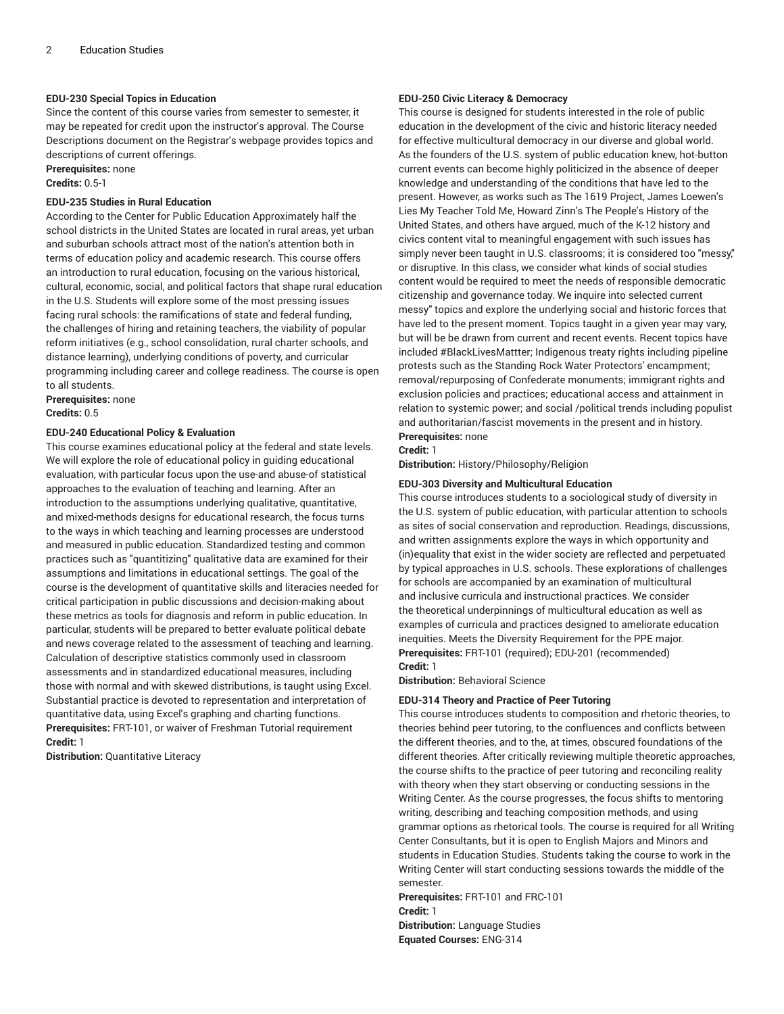#### **EDU-230 Special Topics in Education**

Since the content of this course varies from semester to semester, it may be repeated for credit upon the instructor's approval. The Course Descriptions document on the Registrar's webpage provides topics and descriptions of current offerings.

### **Prerequisites:** none

**Credits:** 0.5-1

#### **EDU-235 Studies in Rural Education**

According to the Center for Public Education Approximately half the school districts in the United States are located in rural areas, yet urban and suburban schools attract most of the nation's attention both in terms of education policy and academic research. This course offers an introduction to rural education, focusing on the various historical, cultural, economic, social, and political factors that shape rural education in the U.S. Students will explore some of the most pressing issues facing rural schools: the ramifications of state and federal funding, the challenges of hiring and retaining teachers, the viability of popular reform initiatives (e.g., school consolidation, rural charter schools, and distance learning), underlying conditions of poverty, and curricular programming including career and college readiness. The course is open to all students.

**Prerequisites:** none **Credits:** 0.5

#### **EDU-240 Educational Policy & Evaluation**

This course examines educational policy at the federal and state levels. We will explore the role of educational policy in guiding educational evaluation, with particular focus upon the use-and abuse-of statistical approaches to the evaluation of teaching and learning. After an introduction to the assumptions underlying qualitative, quantitative, and mixed-methods designs for educational research, the focus turns to the ways in which teaching and learning processes are understood and measured in public education. Standardized testing and common practices such as "quantitizing" qualitative data are examined for their assumptions and limitations in educational settings. The goal of the course is the development of quantitative skills and literacies needed for critical participation in public discussions and decision-making about these metrics as tools for diagnosis and reform in public education. In particular, students will be prepared to better evaluate political debate and news coverage related to the assessment of teaching and learning. Calculation of descriptive statistics commonly used in classroom assessments and in standardized educational measures, including those with normal and with skewed distributions, is taught using Excel. Substantial practice is devoted to representation and interpretation of quantitative data, using Excel's graphing and charting functions. **Prerequisites:** FRT-101, or waiver of Freshman Tutorial requirement **Credit:** 1

**Distribution:** Quantitative Literacy

#### **EDU-250 Civic Literacy & Democracy**

This course is designed for students interested in the role of public education in the development of the civic and historic literacy needed for effective multicultural democracy in our diverse and global world. As the founders of the U.S. system of public education knew, hot-button current events can become highly politicized in the absence of deeper knowledge and understanding of the conditions that have led to the present. However, as works such as The 1619 Project, James Loewen's Lies My Teacher Told Me, Howard Zinn's The People's History of the United States, and others have argued, much of the K-12 history and civics content vital to meaningful engagement with such issues has simply never been taught in U.S. classrooms; it is considered too "messy," or disruptive. In this class, we consider what kinds of social studies content would be required to meet the needs of responsible democratic citizenship and governance today. We inquire into selected current messy" topics and explore the underlying social and historic forces that have led to the present moment. Topics taught in a given year may vary, but will be be drawn from current and recent events. Recent topics have included #BlackLivesMattter; Indigenous treaty rights including pipeline protests such as the Standing Rock Water Protectors' encampment; removal/repurposing of Confederate monuments; immigrant rights and exclusion policies and practices; educational access and attainment in relation to systemic power; and social /political trends including populist and authoritarian/fascist movements in the present and in history. **Prerequisites:** none

### **Credit:** 1

**Distribution:** History/Philosophy/Religion

#### **EDU-303 Diversity and Multicultural Education**

This course introduces students to a sociological study of diversity in the U.S. system of public education, with particular attention to schools as sites of social conservation and reproduction. Readings, discussions, and written assignments explore the ways in which opportunity and (in)equality that exist in the wider society are reflected and perpetuated by typical approaches in U.S. schools. These explorations of challenges for schools are accompanied by an examination of multicultural and inclusive curricula and instructional practices. We consider the theoretical underpinnings of multicultural education as well as examples of curricula and practices designed to ameliorate education inequities. Meets the Diversity Requirement for the PPE major. **Prerequisites:** FRT-101 (required); EDU-201 (recommended) **Credit:** 1

**Distribution:** Behavioral Science

#### **EDU-314 Theory and Practice of Peer Tutoring**

This course introduces students to composition and rhetoric theories, to theories behind peer tutoring, to the confluences and conflicts between the different theories, and to the, at times, obscured foundations of the different theories. After critically reviewing multiple theoretic approaches, the course shifts to the practice of peer tutoring and reconciling reality with theory when they start observing or conducting sessions in the Writing Center. As the course progresses, the focus shifts to mentoring writing, describing and teaching composition methods, and using grammar options as rhetorical tools. The course is required for all Writing Center Consultants, but it is open to English Majors and Minors and students in Education Studies. Students taking the course to work in the Writing Center will start conducting sessions towards the middle of the semester.

**Prerequisites:** FRT-101 and FRC-101 **Credit:** 1 **Distribution:** Language Studies **Equated Courses:** ENG-314